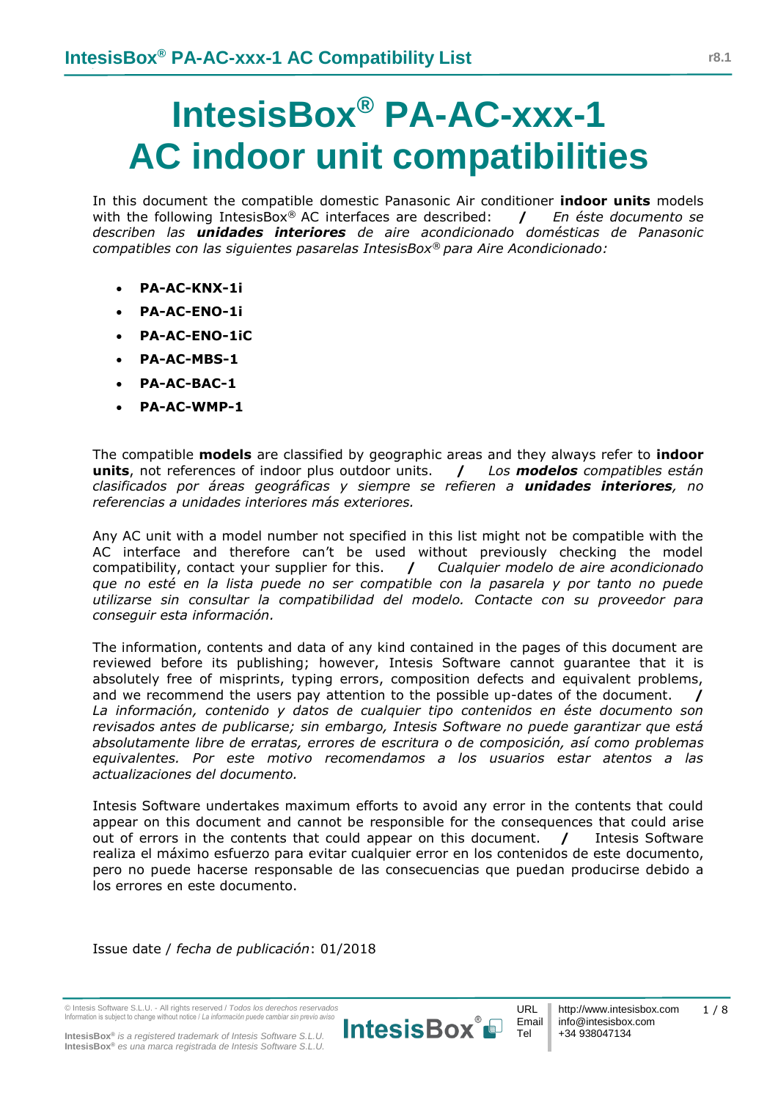## **IntesisBox® PA-AC-xxx-1 AC indoor unit compatibilities**

In this document the compatible domestic Panasonic Air conditioner **indoor units** models with the following IntesisBox® AC interfaces are described: **/** *En éste documento se describen las unidades interiores de aire acondicionado domésticas de Panasonic compatibles con las siguientes pasarelas IntesisBox® para Aire Acondicionado:*

- **PA-AC-KNX-1i**
- **PA-AC-ENO-1i**
- **PA-AC-ENO-1iC**
- **PA-AC-MBS-1**
- **PA-AC-BAC-1**
- **PA-AC-WMP-1**

The compatible **models** are classified by geographic areas and they always refer to **indoor units**, not references of indoor plus outdoor units. **/** *Los modelos compatibles están clasificados por áreas geográficas y siempre se refieren a unidades interiores, no referencias a unidades interiores más exteriores.*

Any AC unit with a model number not specified in this list might not be compatible with the AC interface and therefore can't be used without previously checking the model compatibility, contact your supplier for this. **/** *Cualquier modelo de aire acondicionado que no esté en la lista puede no ser compatible con la pasarela y por tanto no puede utilizarse sin consultar la compatibilidad del modelo. Contacte con su proveedor para conseguir esta información.* 

The information, contents and data of any kind contained in the pages of this document are reviewed before its publishing; however, Intesis Software cannot guarantee that it is absolutely free of misprints, typing errors, composition defects and equivalent problems, and we recommend the users pay attention to the possible up-dates of the document. **/** *La información, contenido y datos de cualquier tipo contenidos en éste documento son revisados antes de publicarse; sin embargo, Intesis Software no puede garantizar que está absolutamente libre de erratas, errores de escritura o de composición, así como problemas equivalentes. Por este motivo recomendamos a los usuarios estar atentos a las actualizaciones del documento.*

Intesis Software undertakes maximum efforts to avoid any error in the contents that could appear on this document and cannot be responsible for the consequences that could arise out of errors in the contents that could appear on this document. **/** Intesis Software realiza el máximo esfuerzo para evitar cualquier error en los contenidos de este documento, pero no puede hacerse responsable de las consecuencias que puedan producirse debido a los errores en este documento.

Issue date / *fecha de publicación*: 01/2018

© Intesis Software S.L.U. - All rights reserved / *Todos los derechos reservados* Information is subject to change without notice / *La información puede cambiar sin previo aviso*

**IntesisBox®** *is a registered trademark of Intesis Software S.L.U.* **IntesisBox®** *es una marca registrada de Intesis Software S.L.U.*



1 / 8

Tel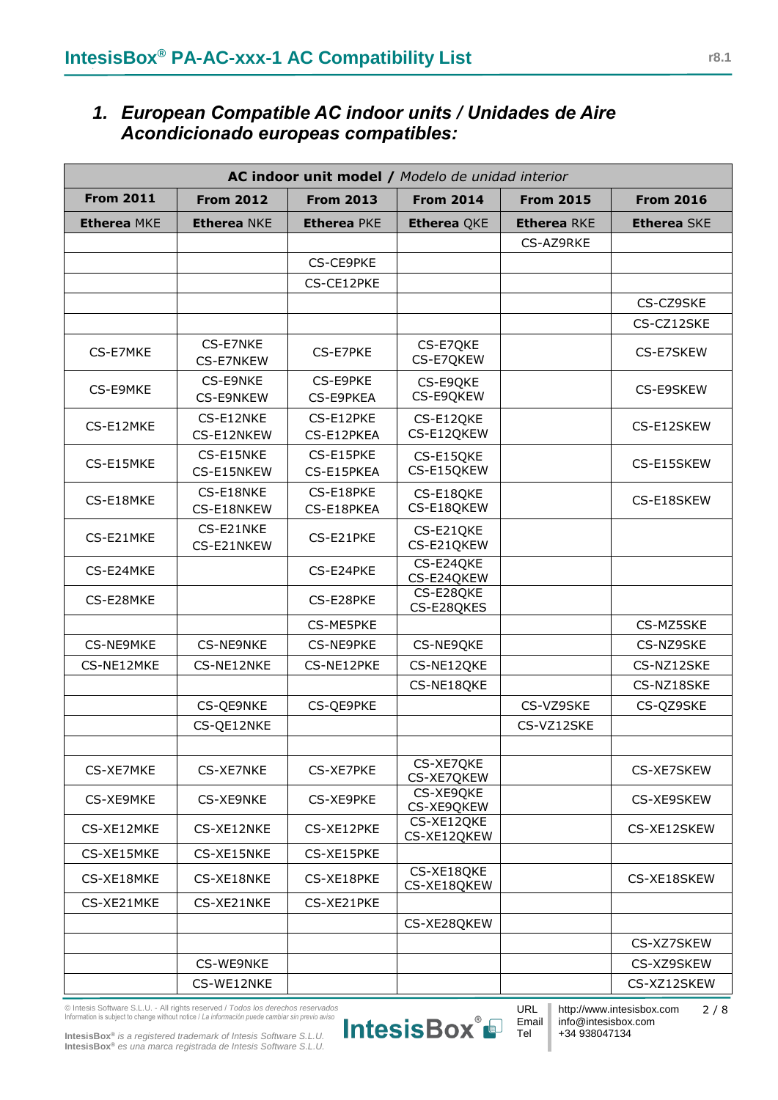## *1. European Compatible AC indoor units / Unidades de Aire Acondicionado europeas compatibles:*

| AC indoor unit model / Modelo de unidad interior                                                                     |                         |                         |                           |                    |                    |
|----------------------------------------------------------------------------------------------------------------------|-------------------------|-------------------------|---------------------------|--------------------|--------------------|
| <b>From 2011</b><br><b>From 2012</b><br><b>From 2013</b><br><b>From 2014</b><br><b>From 2016</b><br><b>From 2015</b> |                         |                         |                           |                    |                    |
| <b>Etherea MKE</b>                                                                                                   | <b>Etherea NKE</b>      | <b>Etherea PKE</b>      | <b>Etherea QKE</b>        | <b>Etherea RKE</b> | <b>Etherea SKE</b> |
|                                                                                                                      |                         |                         |                           | CS-AZ9RKE          |                    |
|                                                                                                                      |                         | CS-CE9PKE               |                           |                    |                    |
|                                                                                                                      |                         | CS-CE12PKE              |                           |                    |                    |
|                                                                                                                      |                         |                         |                           |                    | CS-CZ9SKE          |
|                                                                                                                      |                         |                         |                           |                    | CS-CZ12SKE         |
| CS-E7MKE                                                                                                             | CS-E7NKE<br>CS-E7NKEW   | CS-E7PKE                | CS-E7QKE<br>CS-E7QKEW     |                    | CS-E7SKEW          |
| CS-E9MKE                                                                                                             | CS-E9NKE<br>CS-E9NKEW   | CS-E9PKE<br>CS-E9PKEA   | CS-E9QKE<br>CS-E9QKEW     |                    | CS-E9SKEW          |
| CS-E12MKE                                                                                                            | CS-E12NKE<br>CS-E12NKEW | CS-E12PKE<br>CS-E12PKEA | CS-E12QKE<br>CS-E12QKEW   |                    | CS-E12SKEW         |
| CS-E15MKE                                                                                                            | CS-E15NKE<br>CS-E15NKEW | CS-E15PKE<br>CS-E15PKEA | CS-E15QKE<br>CS-E15QKEW   |                    | CS-E15SKEW         |
| CS-E18MKE                                                                                                            | CS-E18NKE<br>CS-E18NKEW | CS-E18PKE<br>CS-E18PKEA | CS-E18QKE<br>CS-E18QKEW   |                    | CS-E18SKEW         |
| CS-E21MKE                                                                                                            | CS-E21NKE<br>CS-E21NKEW | CS-E21PKE               | CS-E21QKE<br>CS-E21QKEW   |                    |                    |
| CS-E24MKE                                                                                                            |                         | CS-E24PKE               | CS-E24QKE<br>CS-E24QKEW   |                    |                    |
| CS-E28MKE                                                                                                            |                         | CS-E28PKE               | CS-E28QKE<br>CS-E28QKES   |                    |                    |
|                                                                                                                      |                         | CS-ME5PKE               |                           |                    | CS-MZ5SKE          |
| CS-NE9MKE                                                                                                            | <b>CS-NE9NKE</b>        | CS-NE9PKE               | CS-NE9QKE                 |                    | CS-NZ9SKE          |
| CS-NE12MKE                                                                                                           | CS-NE12NKE              | CS-NE12PKE              | CS-NE12QKE                |                    | CS-NZ12SKE         |
|                                                                                                                      |                         |                         | CS-NE18QKE                |                    | CS-NZ18SKE         |
|                                                                                                                      | CS-QE9NKE               | CS-QE9PKE               |                           | CS-VZ9SKE          | CS-QZ9SKE          |
|                                                                                                                      | CS-QE12NKE              |                         |                           | CS-VZ12SKE         |                    |
| CS-XE7MKE                                                                                                            | CS-XE7NKE               | CS-XE7PKE               | CS-XE7QKE<br>CS-XE7QKEW   |                    | CS-XE7SKEW         |
| CS-XE9MKE                                                                                                            | CS-XE9NKE               | CS-XE9PKE               | CS-XE9QKE<br>CS-XE9QKEW   |                    | CS-XE9SKEW         |
| CS-XE12MKE                                                                                                           | CS-XE12NKE              | CS-XE12PKE              | CS-XE12QKE<br>CS-XE12QKEW |                    | CS-XE12SKEW        |
| CS-XE15MKE                                                                                                           | CS-XE15NKE              | CS-XE15PKE              |                           |                    |                    |
| CS-XE18MKE                                                                                                           | CS-XE18NKE              | CS-XE18PKE              | CS-XE18QKE<br>CS-XE18QKEW |                    | CS-XE18SKEW        |
| CS-XE21MKE                                                                                                           | CS-XE21NKE              | CS-XE21PKE              |                           |                    |                    |
|                                                                                                                      |                         |                         | CS-XE28QKEW               |                    |                    |
|                                                                                                                      |                         |                         |                           |                    | CS-XZ7SKEW         |
|                                                                                                                      | CS-WE9NKE               |                         |                           |                    | CS-XZ9SKEW         |
|                                                                                                                      | CS-WE12NKE              |                         |                           |                    | CS-XZ12SKEW        |

© Intesis Software S.L.U. - All rights reserved / *Todos los derechos reservados* Information is subject to change without notice / *La información puede cambiar sin previo aviso*



Tel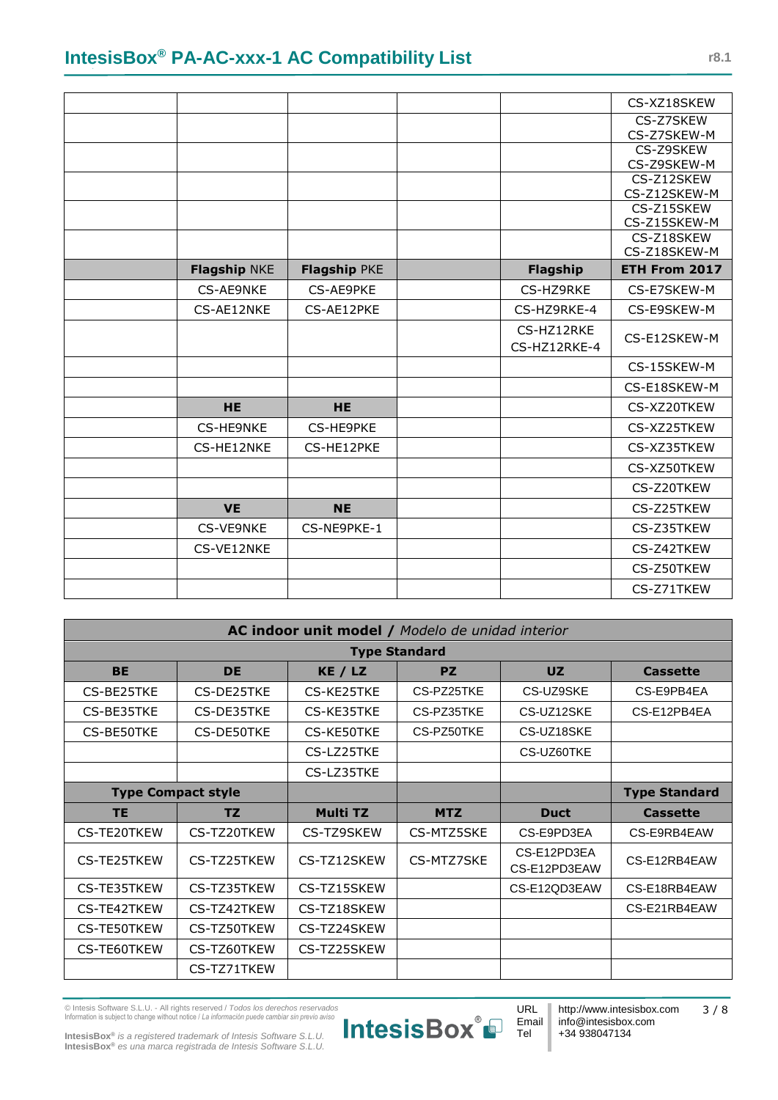|                     |              |              | CS-XZ18SKEW                |
|---------------------|--------------|--------------|----------------------------|
|                     |              |              | CS-Z7SKEW                  |
|                     |              |              | CS-Z7SKEW-M                |
|                     |              |              | CS-Z9SKEW                  |
|                     |              |              | CS-Z9SKEW-M                |
|                     |              |              | CS-Z12SKEW                 |
|                     |              |              | CS-Z12SKEW-M               |
|                     |              |              | CS-Z15SKEW                 |
|                     |              |              | CS-Z15SKEW-M               |
|                     |              |              | CS-Z18SKEW<br>CS-Z18SKEW-M |
|                     |              |              |                            |
| <b>Flagship NKE</b> | Flagship PKE | Flagship     | ETH From 2017              |
| CS-AE9NKE           | CS-AE9PKE    | CS-HZ9RKE    | CS-E7SKEW-M                |
| CS-AE12NKE          | CS-AE12PKE   | CS-HZ9RKE-4  | CS-E9SKEW-M                |
|                     |              | CS-HZ12RKE   |                            |
|                     |              | CS-HZ12RKE-4 | CS-E12SKEW-M               |
|                     |              |              | CS-15SKEW-M                |
|                     |              |              | CS-E18SKEW-M               |
| <b>HE</b>           | <b>HE</b>    |              | CS-XZ20TKEW                |
| CS-HE9NKE           | CS-HE9PKE    |              | CS-XZ25TKEW                |
| CS-HE12NKE          | CS-HE12PKE   |              | CS-XZ35TKEW                |
|                     |              |              | CS-XZ50TKEW                |
|                     |              |              | CS-Z20TKEW                 |
| <b>VE</b>           | <b>NE</b>    |              | CS-Z25TKEW                 |
| CS-VE9NKE           | CS-NE9PKE-1  |              | CS-Z35TKEW                 |
| CS-VE12NKE          |              |              | CS-Z42TKEW                 |
|                     |              |              | CS-Z50TKEW                 |
|                     |              |              | CS-Z71TKEW                 |

| AC indoor unit model / Modelo de unidad interior |             |                 |            |                             |                      |
|--------------------------------------------------|-------------|-----------------|------------|-----------------------------|----------------------|
| <b>Type Standard</b>                             |             |                 |            |                             |                      |
| <b>BE</b>                                        | <b>DE</b>   | KE / LZ         | <b>PZ</b>  | UZ                          | <b>Cassette</b>      |
| CS-BE25TKE                                       | CS-DE25TKE  | CS-KE25TKE      | CS-PZ25TKE | CS-UZ9SKE                   | CS-E9PB4EA           |
| CS-BE35TKE                                       | CS-DE35TKE  | CS-KE35TKE      | CS-PZ35TKE | CS-UZ12SKE                  | CS-E12PB4EA          |
| CS-BE50TKE                                       | CS-DE50TKE  | CS-KE50TKE      | CS-PZ50TKE | CS-UZ18SKE                  |                      |
|                                                  |             | CS-LZ25TKE      |            | CS-UZ60TKE                  |                      |
|                                                  |             | CS-LZ35TKE      |            |                             |                      |
| <b>Type Compact style</b>                        |             |                 |            |                             | <b>Type Standard</b> |
| <b>TE</b>                                        | <b>TZ</b>   | <b>Multi TZ</b> | <b>MTZ</b> | <b>Duct</b>                 | <b>Cassette</b>      |
| CS-TE20TKEW                                      | CS-TZ20TKEW | CS-TZ9SKEW      | CS-MTZ5SKE | CS-E9PD3EA                  | CS-E9RB4EAW          |
| CS-TE25TKEW                                      | CS-TZ25TKEW | CS-TZ12SKEW     | CS-MTZ7SKE | CS-E12PD3EA<br>CS-E12PD3EAW | CS-E12RB4EAW         |
| CS-TE35TKEW                                      | CS-TZ35TKEW | CS-TZ15SKEW     |            | CS-E12QD3EAW                | CS-E18RB4EAW         |
| CS-TE42TKEW                                      | CS-TZ42TKEW | CS-TZ18SKEW     |            |                             | CS-E21RB4EAW         |
| CS-TE50TKEW                                      | CS-TZ50TKEW | CS-TZ24SKEW     |            |                             |                      |
| CS-TE60TKEW                                      | CS-TZ60TKEW | CS-TZ25SKEW     |            |                             |                      |
|                                                  | CS-TZ71TKEW |                 |            |                             |                      |

© Intesis Software S.L.U. - All rights reserved / *Todos los derechos reservados* Information is subject to change without notice / *La información puede cambiar sin previo aviso*



**IntesisBox®** *is a registered trademark of Intesis Software S.L.U.* **IntesisBox®** *es una marca registrada de Intesis Software S.L.U.*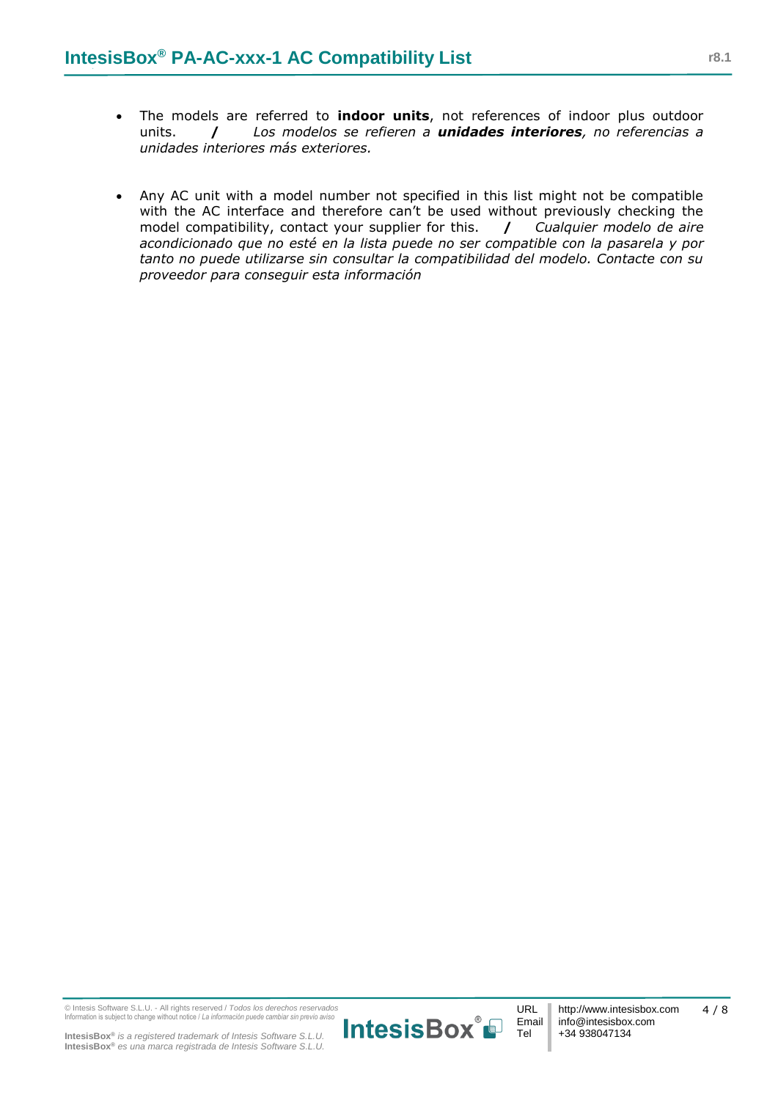- The models are referred to **indoor units**, not references of indoor plus outdoor units. **/** *Los modelos se refieren a unidades interiores, no referencias a unidades interiores más exteriores.*
- Any AC unit with a model number not specified in this list might not be compatible with the AC interface and therefore can't be used without previously checking the model compatibility, contact your supplier for this. **/** *Cualquier modelo de aire acondicionado que no esté en la lista puede no ser compatible con la pasarela y por tanto no puede utilizarse sin consultar la compatibilidad del modelo. Contacte con su proveedor para conseguir esta información*

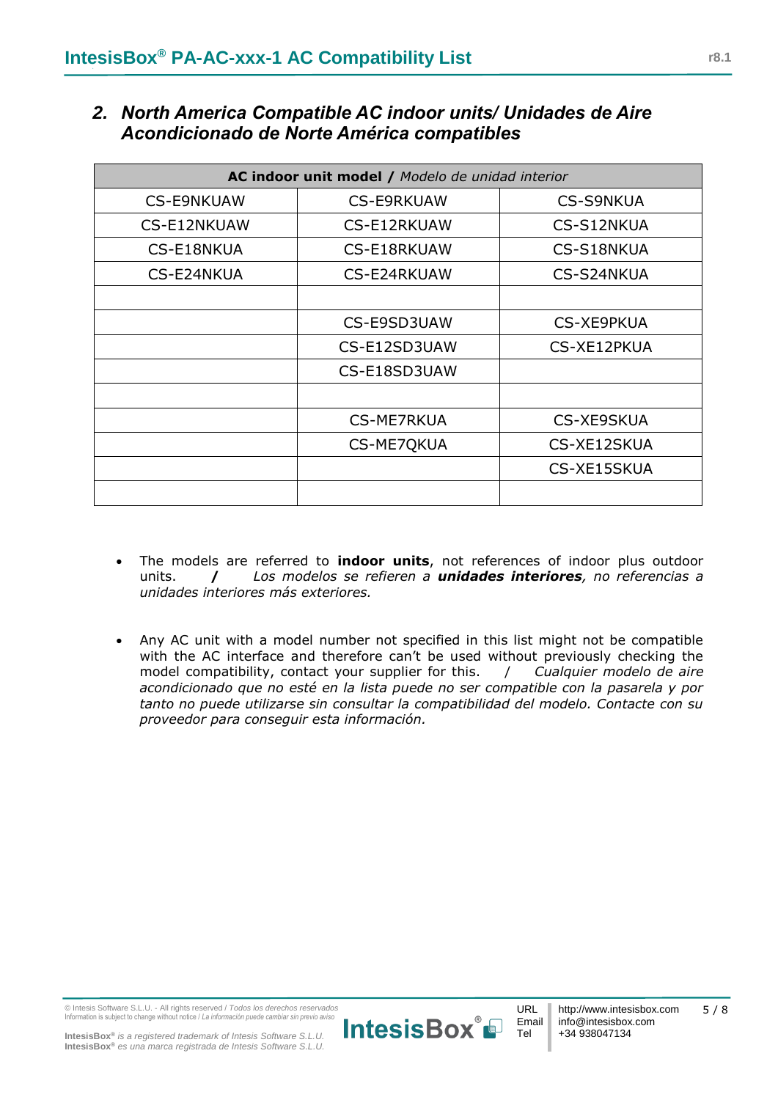| AC indoor unit model / Modelo de unidad interior |                   |                   |  |  |
|--------------------------------------------------|-------------------|-------------------|--|--|
| <b>CS-E9NKUAW</b>                                | <b>CS-E9RKUAW</b> | <b>CS-S9NKUA</b>  |  |  |
| CS-E12NKUAW                                      | CS-E12RKUAW       | CS-S12NKUA        |  |  |
| CS-E18NKUA                                       | CS-E18RKUAW       | CS-S18NKUA        |  |  |
| CS-E24NKUA                                       | CS-E24RKUAW       | CS-S24NKUA        |  |  |
|                                                  |                   |                   |  |  |
|                                                  | CS-E9SD3UAW       | CS-XE9PKUA        |  |  |
|                                                  | CS-E12SD3UAW      | CS-XE12PKUA       |  |  |
|                                                  | CS-E18SD3UAW      |                   |  |  |
|                                                  |                   |                   |  |  |
|                                                  | <b>CS-ME7RKUA</b> | <b>CS-XE9SKUA</b> |  |  |
|                                                  | CS-ME7QKUA        | CS-XE12SKUA       |  |  |
|                                                  |                   | CS-XE15SKUA       |  |  |
|                                                  |                   |                   |  |  |

## *2. North America Compatible AC indoor units/ Unidades de Aire Acondicionado de Norte América compatibles*

- The models are referred to **indoor units**, not references of indoor plus outdoor units. **/** *Los modelos se refieren a unidades interiores, no referencias a unidades interiores más exteriores.*
- Any AC unit with a model number not specified in this list might not be compatible with the AC interface and therefore can't be used without previously checking the model compatibility, contact your supplier for this. / *Cualquier modelo de aire acondicionado que no esté en la lista puede no ser compatible con la pasarela y por tanto no puede utilizarse sin consultar la compatibilidad del modelo. Contacte con su proveedor para conseguir esta información.*

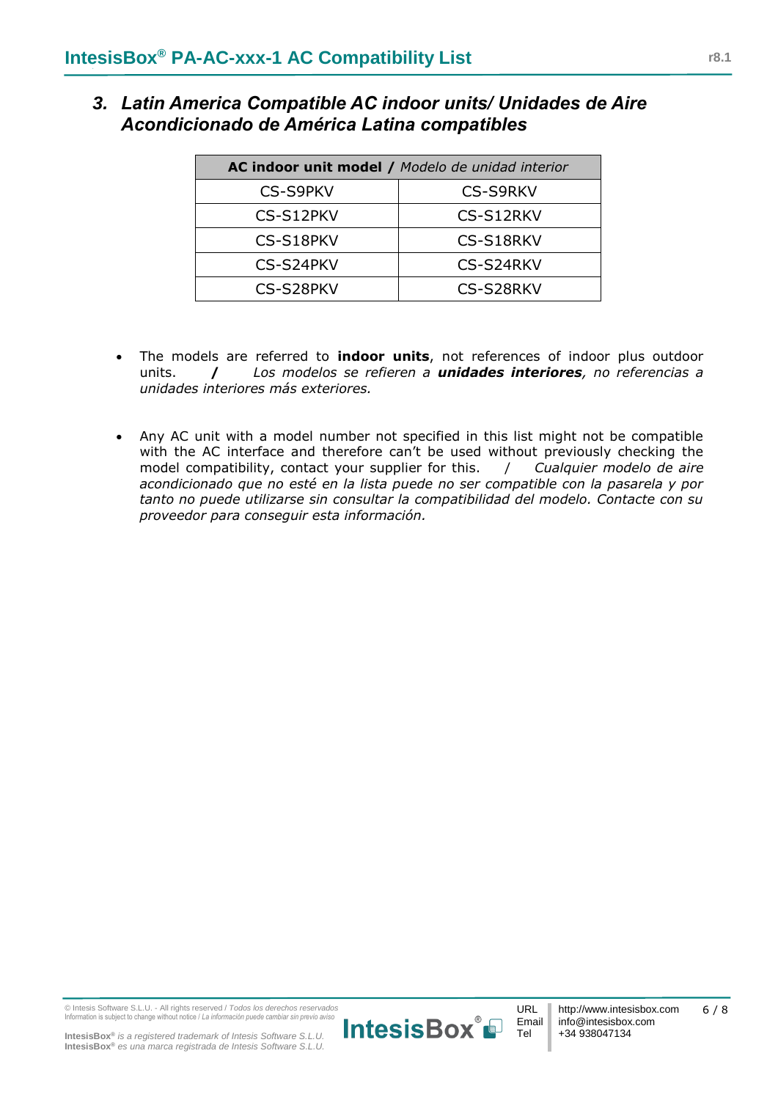| 3. Latin America Compatible AC indoor units/ Unidades de Aire |
|---------------------------------------------------------------|
| Acondicionado de América Latina compatibles                   |

| AC indoor unit model / Modelo de unidad interior |                 |  |  |
|--------------------------------------------------|-----------------|--|--|
| <b>CS-S9PKV</b>                                  | <b>CS-S9RKV</b> |  |  |
| CS-S12PKV                                        | CS-S12RKV       |  |  |
| CS-S18PKV                                        | CS-S18RKV       |  |  |
| CS-S24PKV                                        | CS-S24RKV       |  |  |
| CS-S28PKV                                        | CS-S28RKV       |  |  |

- The models are referred to **indoor units**, not references of indoor plus outdoor units. **/** *Los modelos se refieren a unidades interiores, no referencias a unidades interiores más exteriores.*
- Any AC unit with a model number not specified in this list might not be compatible with the AC interface and therefore can't be used without previously checking the model compatibility, contact your supplier for this. / *Cualquier modelo de aire acondicionado que no esté en la lista puede no ser compatible con la pasarela y por tanto no puede utilizarse sin consultar la compatibilidad del modelo. Contacte con su proveedor para conseguir esta información.*

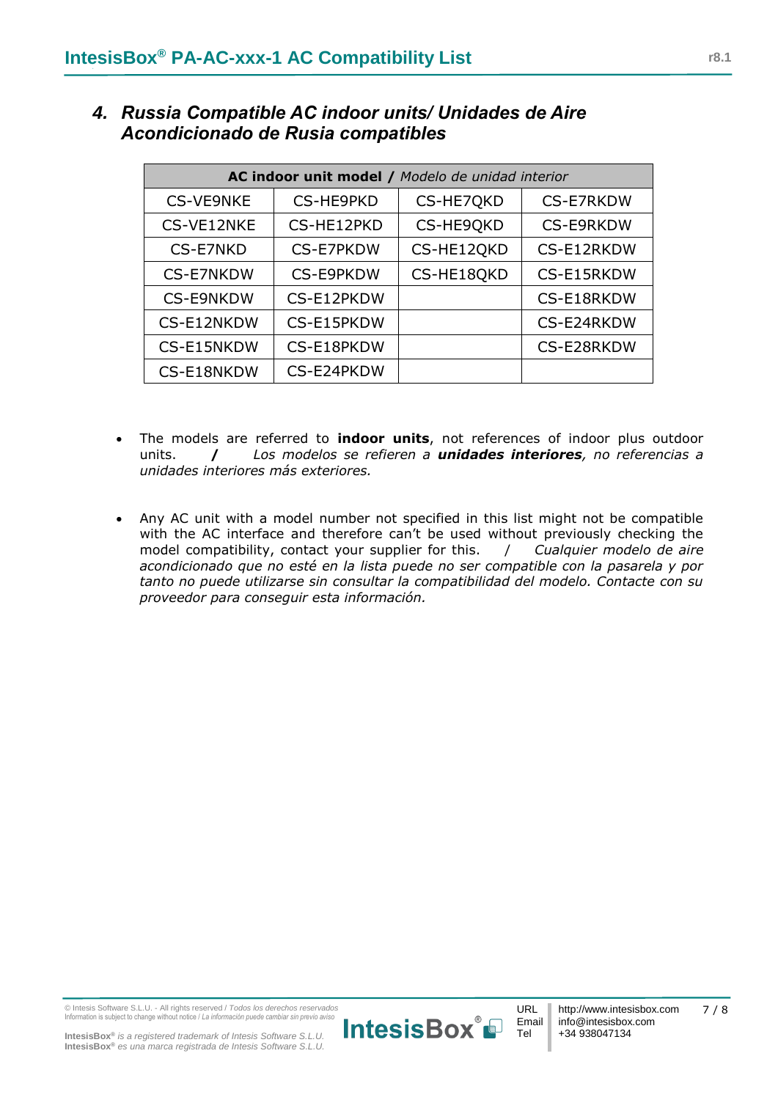| AC indoor unit model / Modelo de unidad interior |            |            |                  |  |  |
|--------------------------------------------------|------------|------------|------------------|--|--|
| <b>CS-VE9NKE</b>                                 | CS-HE9PKD  | CS-HE7QKD  | <b>CS-E7RKDW</b> |  |  |
| CS-VE12NKE                                       | CS-HE12PKD | CS-HE9QKD  | <b>CS-E9RKDW</b> |  |  |
| CS-E7NKD                                         | CS-E7PKDW  | CS-HE12QKD | CS-E12RKDW       |  |  |
| <b>CS-E7NKDW</b>                                 | CS-E9PKDW  | CS-HE18QKD | CS-E15RKDW       |  |  |
| <b>CS-E9NKDW</b>                                 | CS-E12PKDW |            | CS-E18RKDW       |  |  |
| CS-E12NKDW                                       | CS-E15PKDW |            | CS-E24RKDW       |  |  |
| CS-E15NKDW                                       | CS-E18PKDW |            | CS-E28RKDW       |  |  |
| CS-E24PKDW<br>CS-E18NKDW                         |            |            |                  |  |  |

*4. Russia Compatible AC indoor units/ Unidades de Aire Acondicionado de Rusia compatibles*

- The models are referred to **indoor units**, not references of indoor plus outdoor units. **/** *Los modelos se refieren a unidades interiores, no referencias a unidades interiores más exteriores.*
- Any AC unit with a model number not specified in this list might not be compatible with the AC interface and therefore can't be used without previously checking the model compatibility, contact your supplier for this. / *Cualquier modelo de aire acondicionado que no esté en la lista puede no ser compatible con la pasarela y por tanto no puede utilizarse sin consultar la compatibilidad del modelo. Contacte con su proveedor para conseguir esta información.*

**IntesisBox®** *is a registered trademark of Intesis Software S.L.U.* **IntesisBox®** *es una marca registrada de Intesis Software S.L.U.*